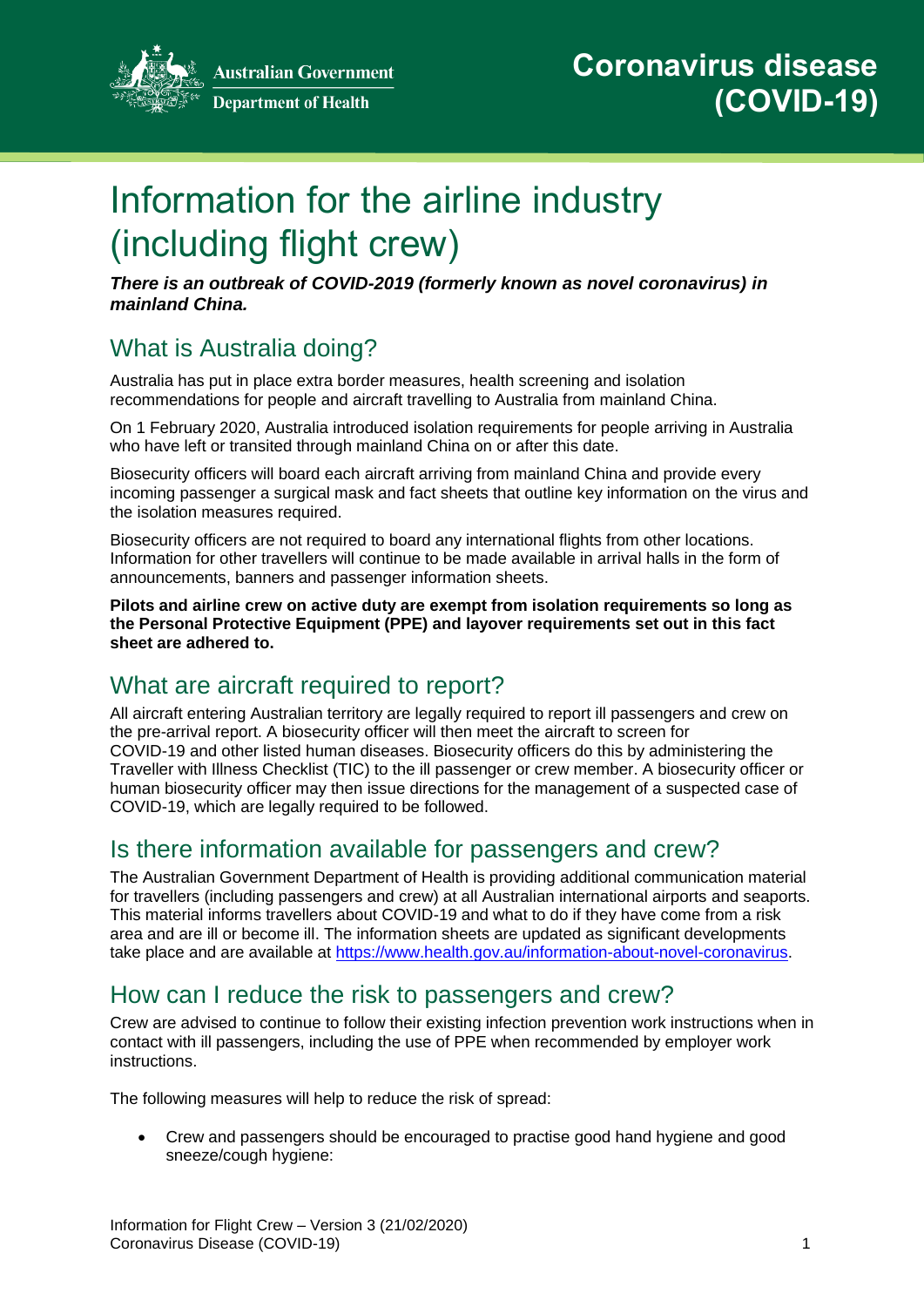

**Australian Government Department of Health** 

# Information for the airline industry (including flight crew)

*There is an outbreak of COVID-2019 (formerly known as novel coronavirus) in mainland China.*

## What is Australia doing?

Australia has put in place extra border measures, health screening and isolation recommendations for people and aircraft travelling to Australia from mainland China.

On 1 February 2020, Australia introduced isolation requirements for people arriving in Australia who have left or transited through mainland China on or after this date.

Biosecurity officers will board each aircraft arriving from mainland China and provide every incoming passenger a surgical mask and fact sheets that outline key information on the virus and the isolation measures required.

Biosecurity officers are not required to board any international flights from other locations. Information for other travellers will continue to be made available in arrival halls in the form of announcements, banners and passenger information sheets.

**Pilots and airline crew on active duty are exempt from isolation requirements so long as the Personal Protective Equipment (PPE) and layover requirements set out in this fact sheet are adhered to.**

## What are aircraft required to report?

All aircraft entering Australian territory are legally required to report ill passengers and crew on the pre-arrival report. A biosecurity officer will then meet the aircraft to screen for COVID-19 and other listed human diseases. Biosecurity officers do this by administering the Traveller with Illness Checklist (TIC) to the ill passenger or crew member. A biosecurity officer or human biosecurity officer may then issue directions for the management of a suspected case of COVID-19, which are legally required to be followed.

## Is there information available for passengers and crew?

The Australian Government Department of Health is providing additional communication material for travellers (including passengers and crew) at all Australian international airports and seaports. This material informs travellers about COVID-19 and what to do if they have come from a risk area and are ill or become ill. The information sheets are updated as significant developments take place and are available at [https://www.health.gov.au/information-about-novel-coronavirus.](https://www.health.gov.au/information-about-novel-coronavirus)

## How can I reduce the risk to passengers and crew?

Crew are advised to continue to follow their existing infection prevention work instructions when in contact with ill passengers, including the use of PPE when recommended by employer work instructions.

The following measures will help to reduce the risk of spread:

 Crew and passengers should be encouraged to practise good hand hygiene and good sneeze/cough hygiene: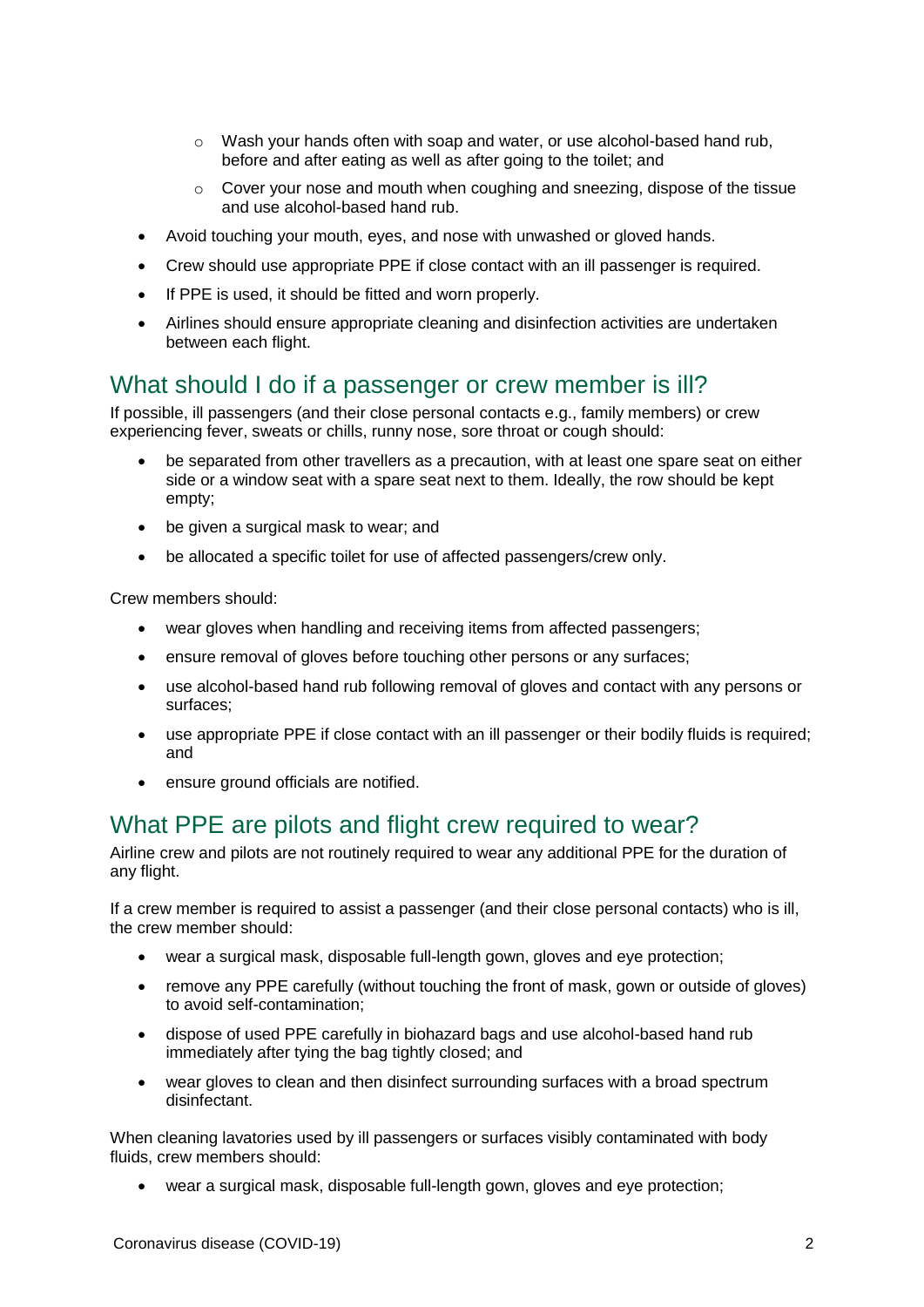- o Wash your hands often with soap and water, or use alcohol-based hand rub, before and after eating as well as after going to the toilet; and
- o Cover your nose and mouth when coughing and sneezing, dispose of the tissue and use alcohol-based hand rub.
- Avoid touching your mouth, eyes, and nose with unwashed or gloved hands.
- Crew should use appropriate PPE if close contact with an ill passenger is required.
- If PPE is used, it should be fitted and worn properly.
- Airlines should ensure appropriate cleaning and disinfection activities are undertaken between each flight.

#### What should I do if a passenger or crew member is ill?

If possible, ill passengers (and their close personal contacts e.g., family members) or crew experiencing fever, sweats or chills, runny nose, sore throat or cough should:

- be separated from other travellers as a precaution, with at least one spare seat on either side or a window seat with a spare seat next to them. Ideally, the row should be kept empty;
- be given a surgical mask to wear; and
- be allocated a specific toilet for use of affected passengers/crew only.

Crew members should:

- wear gloves when handling and receiving items from affected passengers;
- ensure removal of gloves before touching other persons or any surfaces;
- use alcohol-based hand rub following removal of gloves and contact with any persons or surfaces;
- use appropriate PPE if close contact with an ill passenger or their bodily fluids is required; and
- ensure ground officials are notified.

#### What PPE are pilots and flight crew required to wear?

Airline crew and pilots are not routinely required to wear any additional PPE for the duration of any flight.

If a crew member is required to assist a passenger (and their close personal contacts) who is ill, the crew member should:

- wear a surgical mask, disposable full-length gown, gloves and eye protection;
- remove any PPE carefully (without touching the front of mask, gown or outside of gloves) to avoid self-contamination;
- dispose of used PPE carefully in biohazard bags and use alcohol-based hand rub immediately after tying the bag tightly closed; and
- wear gloves to clean and then disinfect surrounding surfaces with a broad spectrum disinfectant.

When cleaning lavatories used by ill passengers or surfaces visibly contaminated with body fluids, crew members should:

wear a surgical mask, disposable full-length gown, gloves and eye protection;